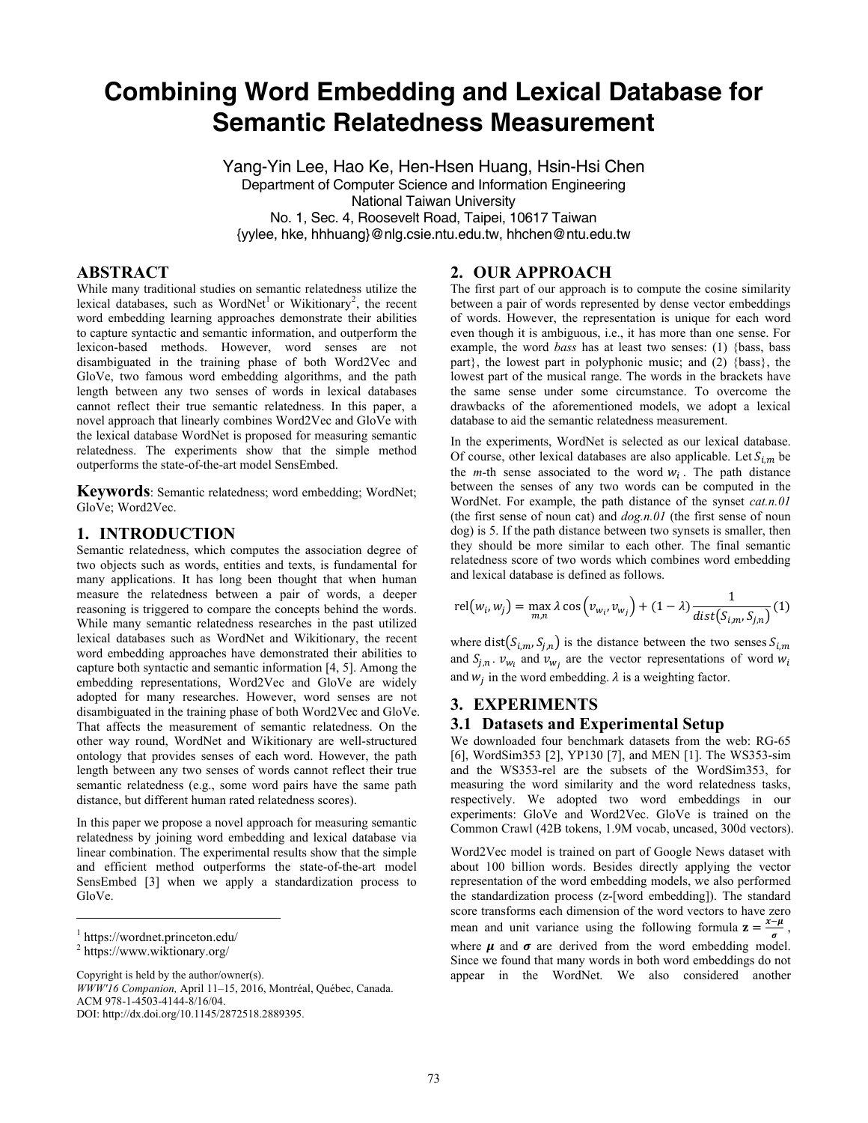# **Combining Word Embedding and Lexical Database for Semantic Relatedness Measurement**

Yang-Yin Lee, Hao Ke, Hen-Hsen Huang, Hsin-Hsi Chen Department of Computer Science and Information Engineering National Taiwan University No. 1, Sec. 4, Roosevelt Road, Taipei, 10617 Taiwan {yylee, hke, hhhuang}@nlg.csie.ntu.edu.tw, hhchen@ntu.edu.tw

### **ABSTRACT**

While many traditional studies on semantic relatedness utilize the lexical databases, such as WordNet<sup>1</sup> or Wikitionary<sup>2</sup>, the recent word embedding learning approaches demonstrate their abilities to capture syntactic and semantic information, and outperform the lexicon-based methods. However, word senses are not disambiguated in the training phase of both Word2Vec and GloVe, two famous word embedding algorithms, and the path length between any two senses of words in lexical databases cannot reflect their true semantic relatedness. In this paper, a novel approach that linearly combines Word2Vec and GloVe with the lexical database WordNet is proposed for measuring semantic relatedness. The experiments show that the simple method outperforms the state-of-the-art model SensEmbed.

**Keywords**: Semantic relatedness; word embedding; WordNet; GloVe; Word2Vec.

#### **1. INTRODUCTION**

Semantic relatedness, which computes the association degree of two objects such as words, entities and texts, is fundamental for many applications. It has long been thought that when human measure the relatedness between a pair of words, a deeper reasoning is triggered to compare the concepts behind the words. While many semantic relatedness researches in the past utilized lexical databases such as WordNet and Wikitionary, the recent word embedding approaches have demonstrated their abilities to capture both syntactic and semantic information [4, 5]. Among the embedding representations, Word2Vec and GloVe are widely adopted for many researches. However, word senses are not disambiguated in the training phase of both Word2Vec and GloVe. That affects the measurement of semantic relatedness. On the other way round, WordNet and Wikitionary are well-structured ontology that provides senses of each word. However, the path length between any two senses of words cannot reflect their true semantic relatedness (e.g., some word pairs have the same path distance, but different human rated relatedness scores).

In this paper we propose a novel approach for measuring semantic relatedness by joining word embedding and lexical database via linear combination. The experimental results show that the simple and efficient method outperforms the state-of-the-art model SensEmbed [3] when we apply a standardization process to GloVe.

 $\overline{a}$ 

## **2. OUR APPROACH**

The first part of our approach is to compute the cosine similarity between a pair of words represented by dense vector embeddings of words. However, the representation is unique for each word even though it is ambiguous, i.e., it has more than one sense. For example, the word *bass* has at least two senses: (1) {bass, bass part}, the lowest part in polyphonic music; and (2) {bass}, the lowest part of the musical range. The words in the brackets have the same sense under some circumstance. To overcome the drawbacks of the aforementioned models, we adopt a lexical database to aid the semantic relatedness measurement.

In the experiments, WordNet is selected as our lexical database. Of course, other lexical databases are also applicable. Let  $S_{i,m}$  be the  $m$ -th sense associated to the word  $w_i$ . The path distance between the senses of any two words can be computed in the WordNet. For example, the path distance of the synset *cat.n.01* (the first sense of noun cat) and *dog.n.01* (the first sense of noun dog) is 5. If the path distance between two synsets is smaller, then they should be more similar to each other. The final semantic relatedness score of two words which combines word embedding and lexical database is defined as follows.

$$
\text{rel}(w_i, w_j) = \max_{m,n} \lambda \cos \left( v_{w_i}, v_{w_j} \right) + (1 - \lambda) \frac{1}{\text{dist}(S_{i,m}, S_{j,n})} (1)
$$

where dist $(S_{i,m}, S_{j,n})$  is the distance between the two senses  $S_{i,m}$ and  $S_{j,n}$ .  $v_{w_i}$  and  $v_{w_j}$  are the vector representations of word  $w_i$ and  $w_i$  in the word embedding.  $\lambda$  is a weighting factor.

#### **3. EXPERIMENTS**

#### **3.1 Datasets and Experimental Setup**

We downloaded four benchmark datasets from the web: RG-65 [6], WordSim353 [2], YP130 [7], and MEN [1]. The WS353-sim and the WS353-rel are the subsets of the WordSim353, for measuring the word similarity and the word relatedness tasks, respectively. We adopted two word embeddings in our experiments: GloVe and Word2Vec. GloVe is trained on the Common Crawl (42B tokens, 1.9M vocab, uncased, 300d vectors).

Word2Vec model is trained on part of Google News dataset with about 100 billion words. Besides directly applying the vector representation of the word embedding models, we also performed the standardization process (z-[word embedding]). The standard score transforms each dimension of the word vectors to have zero mean and unit variance using the following formula  $z = \frac{x-\mu}{\sigma}$ , where  $\mu$  and  $\sigma$  are derived from the word embedding model. Since we found that many words in both word embeddings do not appear in the WordNet. We also considered another

<sup>1</sup> https://wordnet.princeton.edu/

<sup>2</sup> https://www.wiktionary.org/

Copyright is held by the author/owner(s).

*WWW'16 Companion,* April 11–15, 2016, Montréal, Québec, Canada. ACM 978-1-4503-4144-8/16/04. DOI: http://dx.doi.org/10.1145/2872518.2889395.